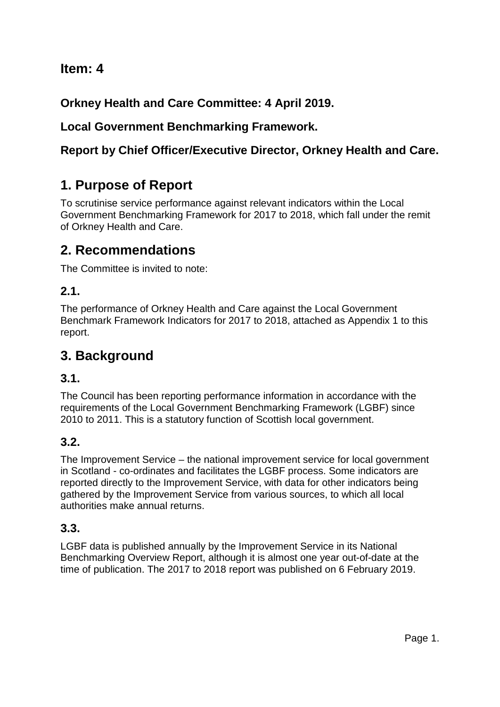## **Item: 4**

**Orkney Health and Care Committee: 4 April 2019.**

## **Local Government Benchmarking Framework.**

## **Report by Chief Officer/Executive Director, Orkney Health and Care.**

# **1. Purpose of Report**

To scrutinise service performance against relevant indicators within the Local Government Benchmarking Framework for 2017 to 2018, which fall under the remit of Orkney Health and Care.

## **2. Recommendations**

The Committee is invited to note:

## **2.1.**

The performance of Orkney Health and Care against the Local Government Benchmark Framework Indicators for 2017 to 2018, attached as Appendix 1 to this report.

## **3. Background**

## **3.1.**

The Council has been reporting performance information in accordance with the requirements of the Local Government Benchmarking Framework (LGBF) since 2010 to 2011. This is a statutory function of Scottish local government.

## **3.2.**

The Improvement Service – the national improvement service for local government in Scotland - co-ordinates and facilitates the LGBF process. Some indicators are reported directly to the Improvement Service, with data for other indicators being gathered by the Improvement Service from various sources, to which all local authorities make annual returns.

## **3.3.**

LGBF data is published annually by the Improvement Service in its National Benchmarking Overview Report, although it is almost one year out-of-date at the time of publication. The 2017 to 2018 report was published on 6 February 2019.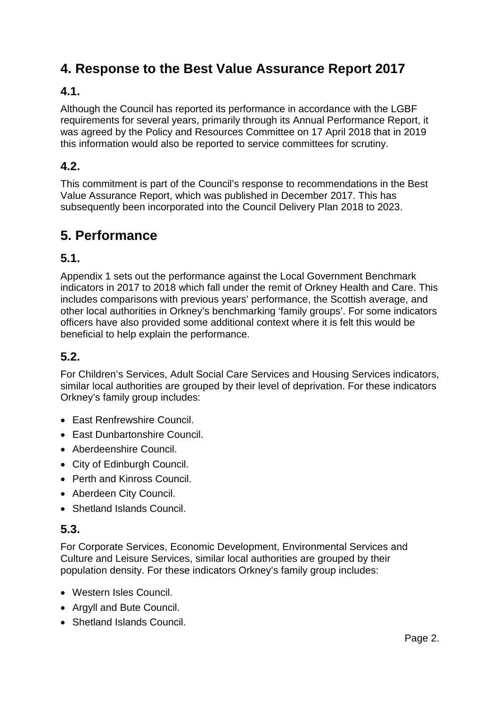## **4. Response to the Best Value Assurance Report 2017**

## **4.1.**

Although the Council has reported its performance in accordance with the LGBF requirements for several years, primarily through its Annual Performance Report, it was agreed by the Policy and Resources Committee on 17 April 2018 that in 2019 this information would also be reported to service committees for scrutiny.

## **4.2.**

This commitment is part of the Council's response to recommendations in the Best Value Assurance Report, which was published in December 2017. This has subsequently been incorporated into the Council Delivery Plan 2018 to 2023.

## **5. Performance**

### **5.1.**

Appendix 1 sets out the performance against the Local Government Benchmark indicators in 2017 to 2018 which fall under the remit of Orkney Health and Care. This includes comparisons with previous years' performance, the Scottish average, and other local authorities in Orkney's benchmarking 'family groups'. For some indicators officers have also provided some additional context where it is felt this would be beneficial to help explain the performance.

### **5.2.**

For Children's Services, Adult Social Care Services and Housing Services indicators, similar local authorities are grouped by their level of deprivation. For these indicators Orkney's family group includes:

- East Renfrewshire Council.
- East Dunbartonshire Council.
- Aberdeenshire Council.
- City of Edinburgh Council.
- Perth and Kinross Council.
- Aberdeen City Council.
- Shetland Islands Council.

#### **5.3.**

For Corporate Services, Economic Development, Environmental Services and Culture and Leisure Services, similar local authorities are grouped by their population density. For these indicators Orkney's family group includes:

- Western Isles Council.
- Argyll and Bute Council.
- Shetland Islands Council.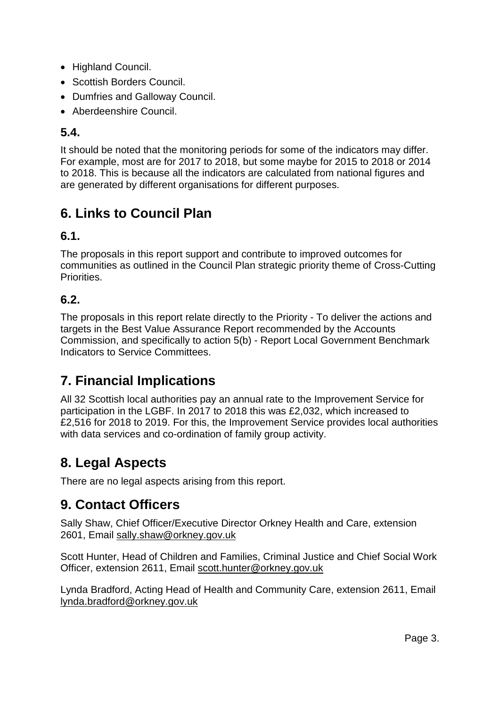- Highland Council.
- Scottish Borders Council.
- Dumfries and Galloway Council.
- Aberdeenshire Council.

### **5.4.**

It should be noted that the monitoring periods for some of the indicators may differ. For example, most are for 2017 to 2018, but some maybe for 2015 to 2018 or 2014 to 2018. This is because all the indicators are calculated from national figures and are generated by different organisations for different purposes.

## **6. Links to Council Plan**

### **6.1.**

The proposals in this report support and contribute to improved outcomes for communities as outlined in the Council Plan strategic priority theme of Cross-Cutting Priorities.

## **6.2.**

The proposals in this report relate directly to the Priority - To deliver the actions and targets in the Best Value Assurance Report recommended by the Accounts Commission, and specifically to action 5(b) - Report Local Government Benchmark Indicators to Service Committees.

## **7. Financial Implications**

All 32 Scottish local authorities pay an annual rate to the Improvement Service for participation in the LGBF. In 2017 to 2018 this was £2,032, which increased to £2,516 for 2018 to 2019. For this, the Improvement Service provides local authorities with data services and co-ordination of family group activity.

## **8. Legal Aspects**

There are no legal aspects arising from this report.

## **9. Contact Officers**

Sally Shaw, Chief Officer/Executive Director Orkney Health and Care, extension 2601, Email [sally.shaw@orkney.gov.uk](mailto:sally.shaw@orkney.gov.uk)

Scott Hunter, Head of Children and Families, Criminal Justice and Chief Social Work Officer, extension 2611, Email [scott.hunter@orkney.gov.uk](mailto:scott.hunter@orkney.gov.uk)

Lynda Bradford, Acting Head of Health and Community Care, extension 2611, Email [lynda.bradford@orkney.gov.uk](mailto:lynda.bradford@orkney.gov.uk)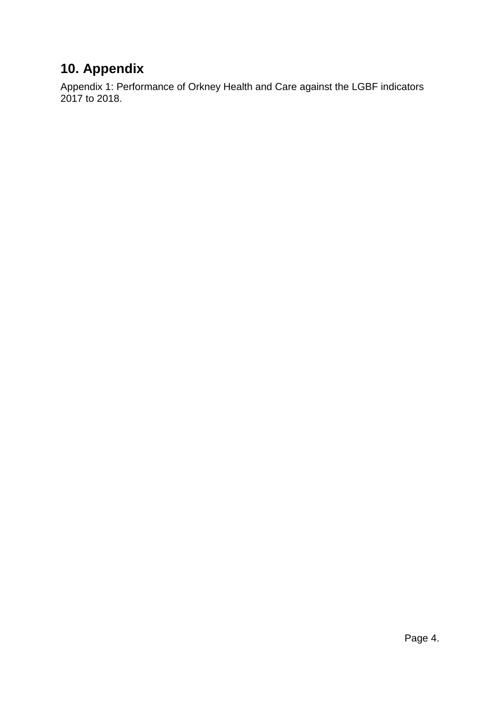# **10. Appendix**

Appendix 1: Performance of Orkney Health and Care against the LGBF indicators 2017 to 2018.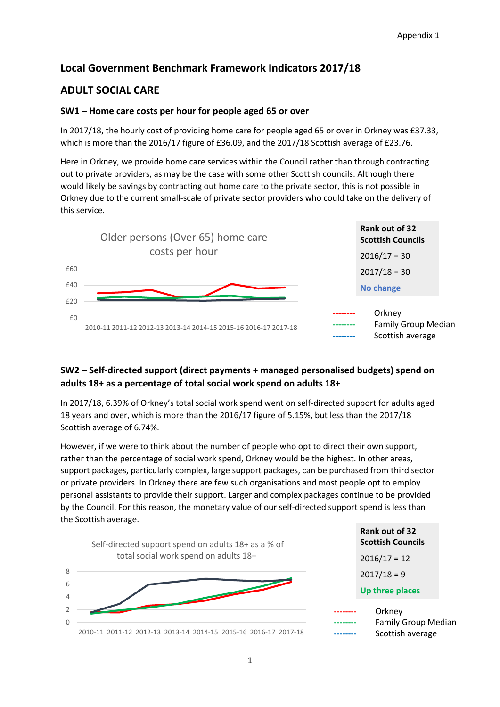### **Local Government Benchmark Framework Indicators 2017/18**

#### **ADULT SOCIAL CARE**

#### **SW1 – Home care costs per hour for people aged 65 or over**

In 2017/18, the hourly cost of providing home care for people aged 65 or over in Orkney was £37.33, which is more than the 2016/17 figure of £36.09, and the 2017/18 Scottish average of £23.76.

Here in Orkney, we provide home care services within the Council rather than through contracting out to private providers, as may be the case with some other Scottish councils. Although there would likely be savings by contracting out home care to the private sector, this is not possible in Orkney due to the current small-scale of private sector providers who could take on the delivery of this service.



#### **SW2 – Self-directed support (direct payments + managed personalised budgets) spend on adults 18+ as a percentage of total social work spend on adults 18+**

In 2017/18, 6.39% of Orkney's total social work spend went on self-directed support for adults aged 18 years and over, which is more than the 2016/17 figure of 5.15%, but less than the 2017/18 Scottish average of 6.74%.

However, if we were to think about the number of people who opt to direct their own support, rather than the percentage of social work spend, Orkney would be the highest. In other areas, support packages, particularly complex, large support packages, can be purchased from third sector or private providers. In Orkney there are few such organisations and most people opt to employ personal assistants to provide their support. Larger and complex packages continue to be provided by the Council. For this reason, the monetary value of our self-directed support spend is less than the Scottish average.



**Rank out of 32 Scottish Councils**  $2016/17 = 12$  $2017/18 = 9$ **Up three places --------** Orkney

| -------                    |
|----------------------------|
| <b>Family Group Median</b> |
| Scottish average           |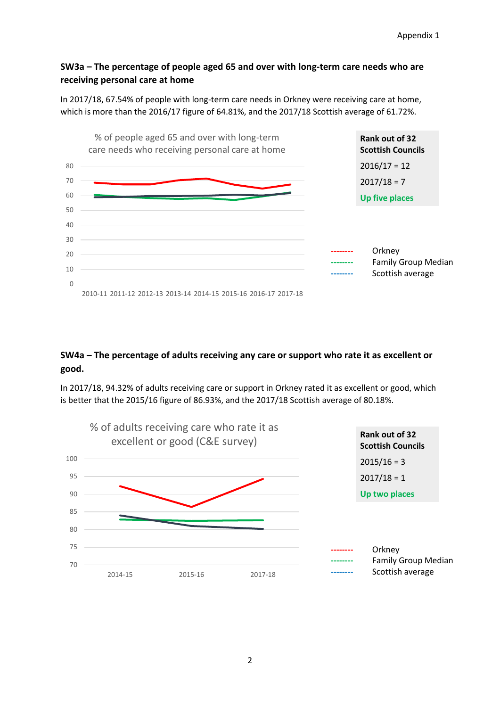#### **SW3a – The percentage of people aged 65 and over with long-term care needs who are receiving personal care at home**

In 2017/18, 67.54% of people with long-term care needs in Orkney were receiving care at home, which is more than the 2016/17 figure of 64.81%, and the 2017/18 Scottish average of 61.72%.



#### **SW4a – The percentage of adults receiving any care or support who rate it as excellent or good.**

In 2017/18, 94.32% of adults receiving care or support in Orkney rated it as excellent or good, which is better that the 2015/16 figure of 86.93%, and the 2017/18 Scottish average of 80.18%.